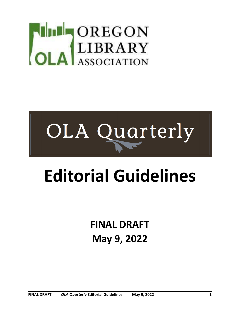# DREGON<br>LIBRARY<br>A ASSOCIATION



# **Editorial Guidelines**

**FINAL DRAFT May 9, 2022**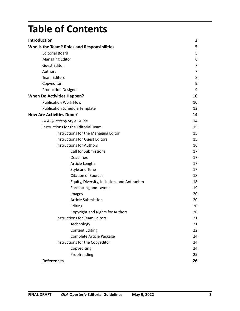|--|

| <b>Introduction</b>                          | 3              |
|----------------------------------------------|----------------|
| Who is the Team? Roles and Responsibilities  | 5              |
| <b>Editorial Board</b>                       | 5              |
| <b>Managing Editor</b>                       | 6              |
| <b>Guest Editor</b>                          | $\overline{7}$ |
| Authors                                      | $\overline{7}$ |
| <b>Team Editors</b>                          | 8              |
| Copyeditor                                   | 9              |
| <b>Production Designer</b>                   | 9              |
| <b>When Do Activities Happen?</b>            | 10             |
| <b>Publication Work Flow</b>                 | 10             |
| <b>Publication Schedule Template</b>         | 12             |
| <b>How Are Activities Done?</b>              | 14             |
| OLA Quarterly Style Guide                    | 14             |
| Instructions for the Editorial Team          | 15             |
| Instructions for the Managing Editor         | 15             |
| <b>Instructions for Guest Editors</b>        | 15             |
| <b>Instructions for Authors</b>              | 16             |
| <b>Call for Submissions</b>                  | 17             |
| <b>Deadlines</b>                             | 17             |
| Article Length                               | 17             |
| Style and Tone                               | 17             |
| <b>Citation of Sources</b>                   | 18             |
| Equity, Diversity, Inclusion, and Antiracism | 18             |
| Formatting and Layout                        | 19             |
| Images                                       | 20             |
| <b>Article Submission</b>                    | 20             |
| Editing                                      | 20             |
| Copyright and Rights for Authors             | 20             |
| <b>Instructions for Team Editors</b>         | 21             |
| Technology                                   | 21             |
| <b>Content Editing</b>                       | 22             |
| Complete Article Package                     | 24             |
| Instructions for the Copyeditor              | 24             |
| Copyediting                                  | 24             |
| Proofreading                                 | 25             |
| <b>References</b>                            | 26             |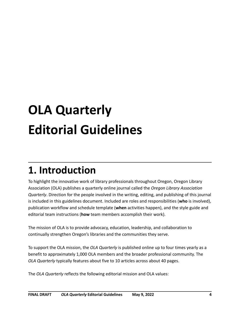# **OLA Quarterly Editorial Guidelines**

# **1. Introduction**

To highlight the innovative work of library professionals throughout Oregon, Oregon Library Association (OLA) publishes a quarterly online journal called the *Oregon Library Association Quarterly*. Direction for the people involved in the writing, editing, and publishing of this journal is included in this guidelines document. Included are roles and responsibilities (**who** is involved), publication workflow and schedule template (**when** activities happen), and the style guide and editorial team instructions (**how** team members accomplish their work).

The mission of OLA is to provide advocacy, education, leadership, and collaboration to continually strengthen Oregon's libraries and the communities they serve.

To support the OLA mission, the *OLA Quarterly* is published online up to four times yearly as a benefit to approximately 1,000 OLA members and the broader professional community. The *OLA Quarterly* typically features about five to 10 articles across about 40 pages.

The *OLA Quarterly* reflects the following editorial mission and OLA values: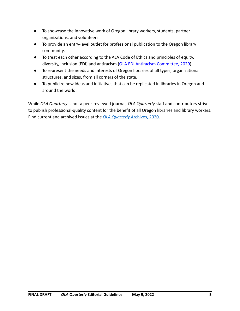- To showcase the innovative work of Oregon library workers, students, partner organizations, and volunteers.
- To provide an entry-level outlet for professional publication to the Oregon library community.
- To treat each other according to the ALA Code of Ethics and principles of equity, diversity, inclusion (EDI) and antiracism (OLA EDI [Antiracism Committee, 2020\)](https://ola.memberclicks.net/ola-edi-antiracism-committee-initiatives-communication).
- To represent the needs and interests of Oregon libraries of all types, organizational structures, and sizes, from all corners of the state.
- To publicize new ideas and initiatives that can be replicated in libraries in Oregon and around the world.

While *OLA Quarterly* is not a peer-reviewed journal, *OLA Quarterly* staff and contributors strive to publish professional-quality content for the benefit of all Oregon libraries and library workers. Find current and archived issues at the *[OLA Quarterly](http://journals3.library.oregonstate.edu/olaq/issue/archive)* Archives, 2020.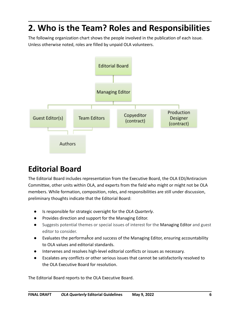# **2. Who is the Team? Roles and Responsibilities**

The following organization chart shows the people involved in the publication of each issue. Unless otherwise noted, roles are filled by unpaid OLA volunteers.



# **Editorial Board**

The Editorial Board includes representation from the Executive Board, the OLA EDI/Antiracism Committee, other units within OLA, and experts from the field who might or might not be OLA members. While formation, composition, roles, and responsibilities are still under discussion, preliminary thoughts indicate that the Editorial Board:

- Is responsible for strategic oversight for the *OLA Quarterly*.
- Provides direction and support for the Managing Editor.
- Suggests potential themes or special issues of interest for the Managing Editor and guest editor to consider.
- Evaluates the performahce and success of the Managing Editor, ensuring accountability to OLA values and editorial standards.
- Intervenes and resolves high-level editorial conflicts or issues as necessary.
- Escalates any conflicts or other serious issues that cannot be satisfactorily resolved to the OLA Executive Board for resolution.

The Editorial Board reports to the OLA Executive Board.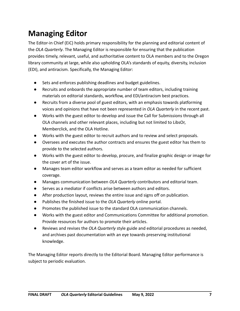# **Managing Editor**

The Editor-in Chief (EiC) holds primary responsibility for the planning and editorial content of the *OLA Quarterly*. The Managing Editor is responsible for ensuring that the publication provides timely, relevant, useful, and authoritative content to OLA members and to the Oregon library community at large, while also upholding OLA's standards of equity, diversity, inclusion (EDI), and antiracism. Specifically, the Managing Editor:

- Sets and enforces publishing deadlines and budget guidelines.
- Recruits and onboards the appropriate number of team editors, including training materials on editorial standards, workflow, and EDI/antiracism best practices.
- Recruits from a diverse pool of guest editors, with an emphasis towards platforming voices and opinions that have not been represented in *OLA Quarterly* in the recent past.
- Works with the guest editor to develop and issue the Call for Submissions through all OLA channels and other relevant places, including but not limited to LibsOr, Memberclick, and the OLA Hotline.
- Works with the guest editor to recruit authors and to review and select proposals.
- Oversees and executes the author contracts and ensures the guest editor has them to provide to the selected authors.
- Works with the guest editor to develop, procure, and finalize graphic design or image for the cover art of the issue.
- Manages team editor workflow and serves as a team editor as needed for sufficient coverage.
- Manages communication between *OLA Quarterly* contributors and editorial team.
- Serves as a mediator if conflicts arise between authors and editors.
- After production layout, reviews the entire issue and signs off on publication.
- Publishes the finished issue to the *OLA Quarterly* online portal.
- Promotes the published issue to the standard OLA communication channels.
- Works with the guest editor and Communications Committee for additional promotion. Provide resources for authors to promote their articles.
- Reviews and revises the *OLA Quarterly* style guide and editorial procedures as needed, and archives past documentation with an eye towards preserving institutional knowledge.

The Managing Editor reports directly to the Editorial Board. Managing Editor performance is subject to periodic evaluation.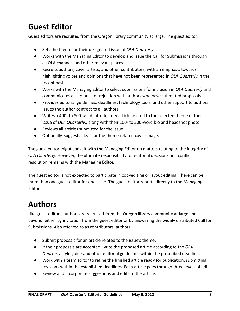# **Guest Editor**

Guest editors are recruited from the Oregon library community at large. The guest editor:

- Sets the theme for their designated issue of *OLA Quarterly*.
- Works with the Managing Editor to develop and issue the Call for Submissions through all OLA channels and other relevant places.
- Recruits authors, cover artists, and other contributors, with an emphasis towards highlighting voices and opinions that have not been represented in *OLA Quarterly* in the recent past.
- Works with the Managing Editor to select submissions for inclusion in *OLA Quarterly* and communicates acceptance or rejection with authors who have submitted proposals.
- Provides editorial guidelines, deadlines, technology tools, and other support to authors. Issues the author contract to all authors.
- Writes a 400- to 800-word introductory article related to the selected theme of their issue of *OLA Quarterly*., along with their 100- to 200-word bio and headshot photo.
- Reviews all articles submitted for the issue.
- Optionally, suggests ideas for the theme-related cover image.

The guest editor might consult with the Managing Editor on matters relating to the integrity of *OLA Quarterly*. However, the ultimate responsibility for editorial decisions and conflict resolution remains with the Managing Editor.

The guest editor is not expected to participate in copyediting or layout editing. There can be more than one guest editor for one issue. The guest editor reports directly to the Managing Editor.

# **Authors**

Like guest editors, authors are recruited from the Oregon library community at large and beyond, either by invitation from the guest editor or by answering the widely distributed Call for Submissions. Also referred to as contributors, authors:

- Submit proposals for an article related to the issue's theme.
- If their proposals are accepted, write the proposed article according to the *OLA Quarterly* style guide and other editorial guidelines within the prescribed deadline.
- Work with a team editor to refine the finished article ready for publication, submitting revisions within the established deadlines. Each article goes through three levels of edit.
- Review and incorporate suggestions and edits to the article.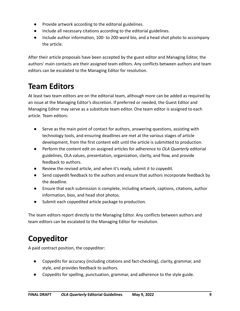- Provide artwork according to the editorial guidelines.
- Include all necessary citations according to the editorial guidelines.
- Include author information, 100- to 200-word bio, and a head shot photo to accompany the article.

After their article proposals have been accepted by the guest editor and Managing Editor, the authors' main contacts are their assigned team editors. Any conflicts between authors and team editors can be escalated to the Managing Editor for resolution.

# **Team Editors**

At least two team editors are on the editorial team, although more can be added as required by an issue at the Managing Editor's discretion. If preferred or needed, the Guest Editor and Managing Editor may serve as a substitute team editor. One team editor is assigned to each article. Team editors:

- Serve as the main point of contact for authors, answering questions, assisting with technology tools, and ensuring deadlines are met at the various stages of article development, from the first content edit until the article is submitted to production.
- Perform the content edit on assigned articles for adherence to *OLA Quarterly* editorial guidelines, OLA values, presentation, organization, clarity, and flow, and provide feedback to authors.
- Review the revised article, and when it's ready, submit it to copyedit.
- Send copyedit feedback to the authors and ensure that authors incorporate feedback by the deadline.
- Ensure that each submission is complete, including artwork, captions, citations, author information, bios, and head shot photos.
- Submit each copyedited article package to production.

The team editors report directly to the Managing Editor. Any conflicts between authors and team editors can be escalated to the Managing Editor for resolution.

# **Copyeditor**

A paid contract position, the copyeditor:

- Copyedits for accuracy (including citations and fact-checking), clarity, grammar, and style, and provides feedback to authors.
- Copyedits for spelling, punctuation, grammar, and adherence to the style guide.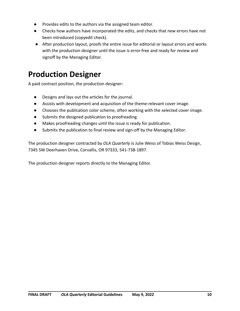- Provides edits to the authors via the assigned team editor.
- Checks how authors have incorporated the edits, and checks that new errors have not been introduced (copyedit check).
- After production layout, proofs the entire issue for editorial or layout errors and works with the production designer until the issue is error-free and ready for review and signoff by the Managing Editor.

# **Production Designer**

A paid contract position, the production designer:

- Designs and lays out the articles for the journal.
- Assists with development and acquisition of the theme-relevant cover image.
- Chooses the publication color scheme, often working with the selected cover image.
- Submits the designed publication to proofreading.
- Makes proofreading changes until the issue is ready for publication.
- Submits the publication to final review and sign-off by the Managing Editor.

The production designer contracted by *OLA Quarterly* is Julie Weiss of Tobias Weiss Design, 7345 SW Deerhaven Drive, Corvallis, OR 97333, 541-738-1897.

The production designer reports directly to the Managing Editor.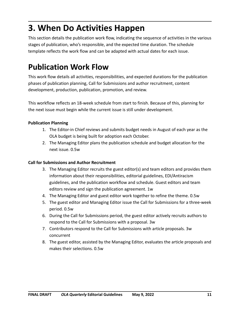# **3. When Do Activities Happen**

This section details the publication work flow, indicating the sequence of activities in the various stages of publication, who's responsible, and the expected time duration. The schedule template reflects the work flow and can be adapted with actual dates for each issue.

# **Publication Work Flow**

This work flow details all activities, responsibilities, and expected durations for the publication phases of publication planning, Call for Submissions and author recruitment, content development, production, publication, promotion, and review.

This workflow reflects an 18-week schedule from start to finish. Because of this, planning for the next issue must begin while the current issue is still under development.

#### **Publication Planning**

- 1. The Editor-in Chief reviews and submits budget needs in August of each year as the OLA budget is being built for adoption each October.
- 2. The Managing Editor plans the publication schedule and budget allocation for the next issue. 0.5w

#### **Call for Submissions and Author Recruitment**

- 3. The Managing Editor recruits the guest editor(s) and team editors and provides them information about their responsibilities, editorial guidelines, EDI/Antiracism guidelines, and the publication workflow and schedule. Guest editors and team editors review and sign the publication agreement. 1w
- 4. The Managing Editor and guest editor work together to refine the theme. 0.5w
- 5. The guest editor and Managing Editor issue the Call for Submissions for a three-week period. 0.5w
- 6. During the Call for Submissions period, the guest editor actively recruits authors to respond to the Call for Submissions with a proposal. 3w
- 7. Contributors respond to the Call for Submissions with article proposals. 3w concurrent
- 8. The guest editor, assisted by the Managing Editor, evaluates the article proposals and makes their selections. 0.5w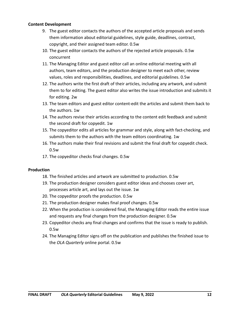#### **Content Development**

- 9. The guest editor contacts the authors of the accepted article proposals and sends them information about editorial guidelines, style guide, deadlines, contract, copyright, and their assigned team editor. 0.5w
- 10. The guest editor contacts the authors of the rejected article proposals. 0.5w concurrent
- 11. The Managing Editor and guest editor call an online editorial meeting with all authors, team editors, and the production designer to meet each other, review values, roles and responsibilities, deadlines, and editorial guidelines. 0.5w
- 12. The authors write the first draft of their articles, including any artwork, and submit them to for editing. The guest editor also writes the issue introduction and submits it for editing. 2w
- 13. The team editors and guest editor content-edit the articles and submit them back to the authors. 1w
- 14. The authors revise their articles according to the content edit feedback and submit the second draft for copyedit. 1w
- 15. The copyeditor edits all articles for grammar and style, along with fact-checking, and submits them to the authors with the team editors coordinating. 1w
- 16. The authors make their final revisions and submit the final draft for copyedit check. 0.5w
- 17. The copyeditor checks final changes. 0.5w

#### **Production**

- 18. The finished articles and artwork are submitted to production. 0.5w
- 19. The production designer considers guest editor ideas and chooses cover art, processes article art, and lays out the issue. 1w
- 20. The copyeditor proofs the production. 0.5w
- 21. The production designer makes final proof changes. 0.5w
- 22. When the production is considered final, the Managing Editor reads the entire issue and requests any final changes from the production designer. 0.5w
- 23. Copyeditor checks any final changes and confirms that the issue is ready to publish. 0.5w
- 24. The Managing Editor signs off on the publication and publishes the finished issue to the *OLA Quarterly* online portal. 0.5w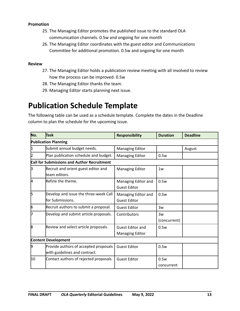#### **Promotion**

- 25. The Managing Editor promotes the published issue to the standard OLA communication channels. 0.5w and ongoing for one month
- 26. The Managing Editor coordinates with the guest editor and Communications Committee for additional promotion. 0.5w and ongoing for one month

#### **Review**

- 27. The Managing Editor holds a publication review meeting with all involved to review how the process can be improved. 0.5w
- 28. The Managing Editor thanks the team.
- 29. Managing Editor starts planning next issue.

# **Publication Schedule Template**

The following table can be used as a schedule template. Complete the dates in the Deadline column to plan the schedule for the upcoming issue.

| No.                         | <b>Task</b>                                                            | <b>Responsibility</b>                             | <b>Duration</b>    | <b>Deadline</b> |  |
|-----------------------------|------------------------------------------------------------------------|---------------------------------------------------|--------------------|-----------------|--|
| <b>Publication Planning</b> |                                                                        |                                                   |                    |                 |  |
|                             | Submit annual budget needs.                                            | <b>Managing Editor</b>                            |                    | August          |  |
|                             | Plan publication schedule and budget.                                  | <b>Managing Editor</b>                            | 0.5w               |                 |  |
|                             | <b>Call for Submissions and Author Recruitment</b>                     |                                                   |                    |                 |  |
| IЗ                          | Recruit and orient guest editor and<br>team editors.                   | <b>Managing Editor</b>                            | 1w                 |                 |  |
| 4                           | Refine the theme.                                                      | Managing Editor and<br><b>Guest Editor</b>        | 0.5w               |                 |  |
| 5                           | Develop and issue the three-week Call<br>for Submissions.              | Managing Editor and<br><b>Guest Editor</b>        | 0.5w               |                 |  |
| 6                           | Recruit authors to submit a proposal.                                  | <b>Guest Editor</b>                               | 3w                 |                 |  |
|                             | Develop and submit article proposals.                                  | Contributors                                      | 3w<br>(concurrent) |                 |  |
| 18                          | Review and select article proposals.                                   | <b>Guest Editor and</b><br><b>Managing Editor</b> | 0.5w               |                 |  |
| Content Development         |                                                                        |                                                   |                    |                 |  |
| 9                           | Provide authors of accepted proposals<br>with guidelines and contract. | <b>Guest Editor</b>                               | 0.5w               |                 |  |
| 10                          | Contact authors of rejected proposals.                                 | <b>Guest Editor</b>                               | 0.5w<br>concurrent |                 |  |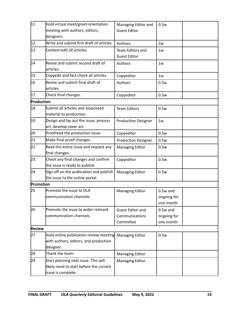| $\overline{11}$ | Hold virtual meet/greet-orientation       | Managing Editor and        | 0.5w        |
|-----------------|-------------------------------------------|----------------------------|-------------|
|                 | meeting with authors, editors,            | <b>Guest Editor</b>        |             |
|                 | designers.                                |                            |             |
| 12              | Write and submit first draft of articles. | Authors                    | 2w          |
| 13              | Content-edit all articles.                | Team Editors and           | 1w          |
|                 |                                           | <b>Guest Editor</b>        |             |
| 14              | Revise and submit second draft of         | Authors                    | 1w          |
|                 | articles.                                 |                            |             |
| 15              | Copyedit and fact-check all articles.     | Copyeditor                 | 1w          |
| 16              | Revise and submit final draft of          | Authors                    | 0.5w        |
|                 | articles.                                 |                            |             |
| 17              | Check final changes.                      | Copyeditor                 | 0.5w        |
| Production      |                                           |                            |             |
| 18              | Submit all articles and associated        | <b>Team Editors</b>        | 0.5w        |
|                 | material to production.                   |                            |             |
| 19              | Design and lay out the issue, process     | <b>Production Designer</b> | 1w          |
|                 | art, develop cover art.                   |                            |             |
| 20              | Proofread the production issue.           | Copyeditor                 | 0.5w        |
| $\overline{21}$ | Make final proof changes.                 | <b>Production Designer</b> | 0.5w        |
| 22              | Read the entire issue and request any     | <b>Managing Editor</b>     | 0.5w        |
|                 | final changes.                            |                            |             |
| 23              | Check any final changes and confirm       | Copyeditor                 | 0.5w        |
|                 | the issue is ready to publish.            |                            |             |
| 24              | Sign off on the publication and publish   | <b>Managing Editor</b>     | 0.5w        |
|                 | the issue to the online portal.           |                            |             |
| Promotion       |                                           |                            |             |
| 25              | Promote the issue to OLA                  | <b>Managing Editor</b>     | $0.5w$ and  |
|                 | communication channels.                   |                            | ongoing for |
|                 |                                           |                            | one month   |
| 26              | Promote the issue to wider relevant       | <b>Guest Editor and</b>    | $0.5w$ and  |
|                 | communication channels.                   | Communications             | ongoing for |
|                 |                                           | Committee                  | one month   |
| <b>Review</b>   |                                           |                            |             |
| 27              | Hold online publication review meeting    | <b>Managing Editor</b>     | 0.5w        |
|                 | with authors, editors, and production     |                            |             |
|                 | designer.                                 |                            |             |
| 28              | Thank the team.                           | <b>Managing Editor</b>     |             |
| 29              | Start planning next issue. This will      | <b>Managing Editor</b>     |             |
|                 | likely need to start before the current   |                            |             |
|                 | issue is complete.                        |                            |             |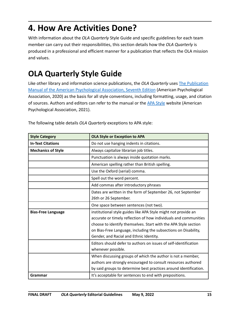# **4. How Are Activities Done?**

With information about the *OLA Quarterly* Style Guide and specific guidelines for each team member can carry out their responsibilities, this section details how the *OLA Quarterly* is produced in a professional and efficient manner for a publication that reflects the OLA mission and values.

# **OLA Quarterly Style Guide**

Like other library and information science publications, the *OLA Quarterly* uses [The Publication](https://apastyle.apa.org/products/publication-manual-7th-edition) [Manual of the American Psychological Association, Seventh Edition](https://apastyle.apa.org/products/publication-manual-7th-edition) (American Psychological Association, 2020) as the basis for all style conventions, including formatting, usage, and citation of sources. Authors and editors can refer to the manual or the [APA Style](https://apastyle.apa.org/) website (American Psychological Association, 2021).

| <b>Style Category</b>     | <b>OLA Style or Exception to APA</b>                              |
|---------------------------|-------------------------------------------------------------------|
| <b>In-Text Citations</b>  | Do not use hanging indents in citations.                          |
| <b>Mechanics of Style</b> | Always capitalize librarian job titles.                           |
|                           | Punctuation is always inside quotation marks.                     |
|                           | American spelling rather than British spelling.                   |
|                           | Use the Oxford (serial) comma.                                    |
|                           | Spell out the word percent.                                       |
|                           | Add commas after introductory phrases                             |
|                           | Dates are written in the form of September 26, not September      |
|                           | 26th or 26 September.                                             |
|                           | One space between sentences (not two).                            |
| <b>Bias-Free Language</b> | institutional style guides like APA Style might not provide an    |
|                           | accurate or timely reflection of how individuals and communities  |
|                           | choose to identify themselves. Start with the APA Style section   |
|                           | on Bias-Free Language, including the subsections on Disability,   |
|                           | Gender, and Racial and Ethnic Identity.                           |
|                           | Editors should defer to authors on issues of self-identification  |
|                           | whenever possible.                                                |
|                           | When discussing groups of which the author is not a member,       |
|                           | authors are strongly encouraged to consult resources authored     |
|                           | by said groups to determine best practices around identification. |
| Grammar                   | It's acceptable for sentences to end with prepositions.           |

The following table details *OLA Quarterly* exceptions to APA style: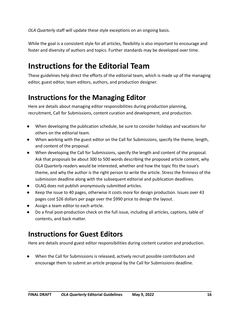*OLA Quarterly* staff will update these style exceptions on an ongoing basis.

While the goal is a consistent style for all articles, flexibility is also important to encourage and foster and diversity of authors and topics. Further standards may be developed over time.

# **Instructions for the Editorial Team**

These guidelines help direct the efforts of the editorial team, which is made up of the managing editor, guest editor, team editors, authors, and production designer.

# **Instructions for the Managing Editor**

Here are details about managing editor responsibilities during production planning, recruitment, Call for Submissions, content curation and development, and production.

- When developing the publication schedule, be sure to consider holidays and vacations for others on the editorial team.
- When working with the guest editor on the Call for Submissions, specify the theme, length, and content of the proposal.
- When developing the Call for Submissions, specify the length and content of the proposal. Ask that proposals be about 300 to 500 words describing the proposed article content, why *OLA Quarterly* readers would be interested, whether and how the topic fits the issue's theme, and why the author is the right person to write the article. Stress the firmness of the submission deadline along with the subsequent editorial and publication deadlines.
- OLAQ does not publish anonymously submitted articles.
- Keep the issue to 40 pages, otherwise it costs more for design production. Issues over 43 pages cost \$26 dollars per page over the \$990 price to design the layout.
- Assign a team editor to each article.
- Do a final post-production check on the full issue, including all articles, captions, table of contents, and back matter.

## **Instructions for Guest Editors**

Here are details around guest editor responsibilities during content curation and production.

When the Call for Submissions is released, actively recruit possible contributors and encourage them to submit an article proposal by the Call for Submissions deadline.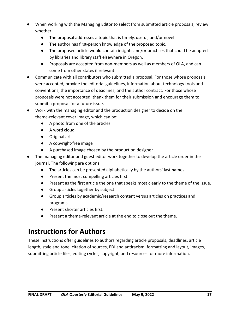- When working with the Managing Editor to select from submitted article proposals, review whether:
	- The proposal addresses a topic that is timely, useful, and/or novel.
	- The author has first-person knowledge of the proposed topic.
	- The proposed article would contain insights and/or practices that could be adapted by libraries and library staff elsewhere in Oregon.
	- Proposals are accepted from non-members as well as members of OLA, and can come from other states if relevant.
- Communicate with all contributors who submitted a proposal. For those whose proposals were accepted, provide the editorial guidelines, information about technology tools and conventions, the importance of deadlines, and the author contract. For those whose proposals were not accepted, thank them for their submission and encourage them to submit a proposal for a future issue.
- Work with the managing editor and the production designer to decide on the theme-relevant cover image, which can be:
	- A photo from one of the articles
	- A word cloud
	- Original art
	- A copyright-free image
	- A purchased image chosen by the production designer
- The managing editor and guest editor work together to develop the article order in the journal. The following are options:
	- The articles can be presented alphabetically by the authors' last names.
	- Present the most compelling articles first.
	- Present as the first article the one that speaks most clearly to the theme of the issue.
	- Group articles together by subject.
	- Group articles by academic/research content versus articles on practices and programs.
	- Present shorter articles first.
	- Present a theme-relevant article at the end to close out the theme.

# **Instructions for Authors**

These instructions offer guidelines to authors regarding article proposals, deadlines, article length, style and tone, citation of sources, EDI and antiracism, formatting and layout, images, submitting article files, editing cycles, copyright, and resources for more information.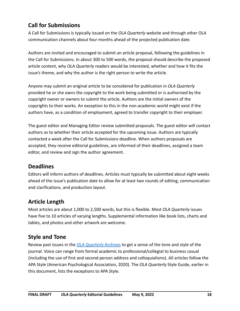#### **Call for Submissions**

A Call for Submissions is typically issued on the *OLA Quarterly* website and through other OLA communication channels about four months ahead of the projected publication date.

Authors are invited and encouraged to submit an article proposal, following the guidelines in the Call for Submissions. In about 300 to 500 words, the proposal should describe the proposed article content, why *OLA Quarterly* readers would be interested, whether and how it fits the issue's theme, and why the author is the right person to write the article.

Anyone may submit an original article to be considered for publication in *OLA Quarterly* provided he or she owns the copyright to the work being submitted or is authorized by the copyright owner or owners to submit the article. Authors are the initial owners of the copyrights to their works. An exception to this in the non-academic world might exist if the authors have, as a condition of employment, agreed to transfer copyright to their employer.

The guest editor and Managing Editor review submitted proposals. The guest editor will contact authors as to whether their article accepted for the upcoming issue. Authors are typically contacted a week after the Call for Submissions deadline. When authors proposals are accepted, they receive editorial guidelines, are informed of their deadlines, assigned a team editor, and review and sign the author agreement.

#### **Deadlines**

Editors will inform authors of deadlines. Articles must typically be submitted about eight weeks ahead of the issue's publication date to allow for at least two rounds of editing, communication and clarifications, and production layout.

#### **Article Length**

Most articles are about 1,000 to 2,500 words, but this is flexible. Most *OLA Quarterly* issues have five to 10 articles of varying lengths. Supplemental information like book lists, charts and tables, and photos and other artwork are welcome.

#### **Style and Tone**

Review past issues in the *[OLA Quarterly](http://journals3.library.oregonstate.edu/olaq/issue/archive)* Archives to get a sense of the tone and style of the journal. Voice can range from formal academic to professional/collegial to business casual (including the use of first and second person address and colloquialisms). All articles follow the APA Style (American Psychological Association, 2020). The *OLA Quarterly* Style Guide, earlier in this document, lists the exceptions to APA Style.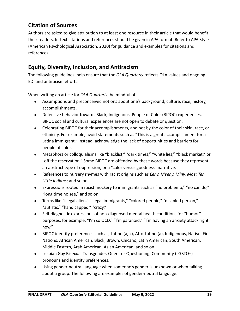#### **Citation of Sources**

Authors are asked to give attribution to at least one resource in their article that would benefit their readers. In-text citations and references should be given in APA format. Refer to APA Style (American Psychological Association, 2020) for guidance and examples for citations and references.

#### **Equity, Diversity, Inclusion, and Antiracism**

The following guidelines help ensure that the *OLA Quarterly* reflects OLA values and ongoing EDI and antiracism efforts.

When writing an article for *OLA Quarterly*, be mindful of:

- Assumptions and preconceived notions about one's background, culture, race, history, accomplishments.
- Defensive behavior towards Black, Indigenous, People of Color (BIPOC) experiences. BIPOC social and cultural experiences are not open to debate or question.
- Celebrating BIPOC for their accomplishments, and not by the color of their skin, race, or ethnicity. For example, avoid statements such as "This is a great accomplishment for a Latina immigrant." Instead, acknowledge the lack of opportunities and barriers for people of color.
- Metaphors or colloquialisms like "blacklist," "dark times," "white lies," "black market," or "off the reservation." Some BIPOC are offended by these words because they represent an abstract type of oppression, or a "color versus goodness" narrative.
- References to nursery rhymes with racist origins such as *Eeny, Meeny, Miny, Moe; Ten Little Indians*; and so on.
- Expressions rooted in racist mockery to immigrants such as "no problemo," "no can do," "long time no see," and so on.
- Terms like "illegal alien," "illegal immigrants," "colored people," "disabled person," "autistic," "handicapped," "crazy."
- Self-diagnostic expressions of non-diagnosed mental health conditions for "humor" purposes, for example, "I'm so OCD," "I'm paranoid," "I'm having an anxiety attack right now."
- BIPOC identity preferences such as, Latino (a, x), Afro-Latino (a), Indigenous, Native, First Nations, African American, Black, Brown, Chicano, Latin American, South American, Middle Eastern, Arab American, Asian American, and so on.
- Lesbian Gay Bisexual Transgender, Queer or Questioning, Community (LGBTQ+) pronouns and identity preferences.
- Using gender-neutral language when someone's gender is unknown or when talking about a group. The following are examples of gender-neutral language: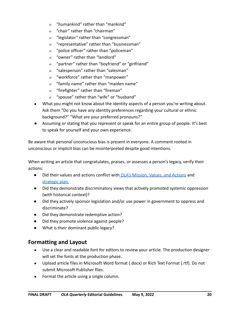- o "humankind" rather than "mankind"
- o "chair" rather than "chairman"
- o "legislator" rather than "congressman"
- o "representative" rather than "businessman"
- o "police officer" rather than "policeman"
- o "owner" rather than "landlord"
- o "partner" rather than "boyfriend" or "girlfriend"
- o "salesperson" rather than "salesman"
- o "workforce" rather than "manpower"
- o "family name" rather than "maiden name"
- o "firefighter" rather than "fireman"
- o "spouse" rather than "wife" or "husband"
- What you might not know about the identity aspects of a person you're writing about. Ask them "Do you have any identity preferences regarding your cultural or ethnic background?" "What are your preferred pronouns?"
- Assuming or stating that you represent or speak for an entire group of people. It's best to speak for yourself and your own experience.

Be aware that personal unconscious bias is present in everyone. A comment rooted in unconscious or implicit bias can be misinterpreted despite good intentions.

When writing an article that congratulates, praises, or assesses a person's legacy, verify their actions:

- Did their values and actions conflict with OLA's Mission, [Values, and Actions](https://ola.memberclicks.net/index.php?option=com_content&view=article&id=568:ola-vision-and-values-framework&catid=20:site-content) and [strategic plan](https://www.olaweb.org/strategic-plan-2020-23).
- Did they demonstrate discriminatory views that actively promoted systemic oppression (with historical context)?
- Did they actively sponsor legislation and/or use power in government to oppress and discriminate?
- Did they demonstrate redemptive action?
- Did they promote violence against people?
- What is their dominant public legacy?

#### **Formatting and Layout**

- Use a clear and readable font for editors to review your article. The production designer will set the fonts at the production phase.
- Upload article files in Microsoft Word format (.docx) or Rich Text Format (.rtf). Do not submit Microsoft Publisher files.
- Format the article using a single column.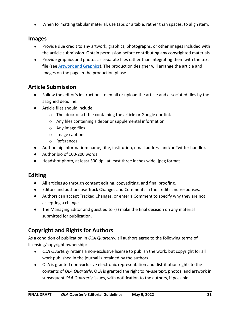● When formatting tabular material, use tabs or a table, rather than spaces, to align item.

#### **Images**

- Provide due credit to any artwork, graphics, photographs, or other images included with the article submission. Obtain permission before contributing any copyrighted materials.
- Provide graphics and photos as separate files rather than integrating them with the text file (see **Artwork and Graphics**). The production designer will arrange the article and images on the page in the production phase.

#### **Article Submission**

- Follow the editor's instructions to email or upload the article and associated files by the assigned deadline.
- Article files should include:
	- o The .docx or .rtf file containing the article or Google doc link
	- o Any files containing sidebar or supplemental information
	- o Any image files
	- o Image captions
	- o References
- Authorship information: name, title, institution, email address and/or Twitter handle).
- Author bio of 100-200 words
- Headshot photo, at least 300 dpi, at least three inches wide, jpeg format

#### **Editing**

- All articles go through content editing, copyediting, and final proofing.
- Editors and authors use Track Changes and Comments in their edits and responses.
- Authors can accept Tracked Changes, or enter a Comment to specify why they are not accepting a change.
- The Managing Editor and guest editor(s) make the final decision on any material submitted for publication.

## **Copyright and Rights for Authors**

As a condition of publication in *OLA Quarterly*, all authors agree to the following terms of licensing/copyright ownership:

- *OLA Quarterly* retains a non-exclusive license to publish the work, but copyright for all work published in the journal is retained by the authors.
- OLA is granted non-exclusive electronic representation and distribution rights to the contents of *OLA Quarterly*. OLA is granted the right to re-use text, photos, and artwork in subsequent *OLA Quarterly* issues, with notification to the authors, if possible.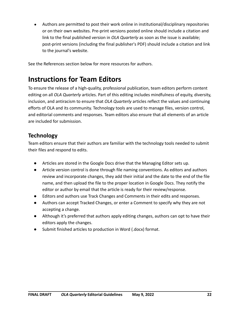Authors are permitted to post their work online in institutional/disciplinary repositories or on their own websites. Pre-print versions posted online should include a citation and link to the final published version in *OLA Quarterly* as soon as the issue is available; post-print versions (including the final publisher's PDF) should include a citation and link to the journal's website.

See the References section below for more resources for authors.

# **Instructions for Team Editors**

To ensure the release of a high-quality, professional publication, team editors perform content editing on all *OLA Quarterly* articles. Part of this editing includes mindfulness of equity, diversity, inclusion, and antiracism to ensure that *OLA Quarterly* articles reflect the values and continuing efforts of OLA and its community. Technology tools are used to manage files, version control, and editorial comments and responses. Team editors also ensure that all elements of an article are included for submission.

#### **Technology**

Team editors ensure that their authors are familiar with the technology tools needed to submit their files and respond to edits.

- Articles are stored in the Google Docs drive that the Managing Editor sets up.
- Article version control is done through file naming conventions. As editors and authors review and incorporate changes, they add their initial and the date to the end of the file name, and then upload the file to the proper location in Google Docs. They notify the editor or author by email that the article is ready for their review/response.
- Editors and authors use Track Changes and Comments in their edits and responses.
- Authors can accept Tracked Changes, or enter a Comment to specify why they are not accepting a change.
- Although it's preferred that authors apply editing changes, authors can opt to have their editors apply the changes.
- Submit finished articles to production in Word (.docx) format.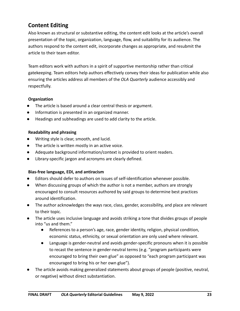#### **Content Editing**

Also known as structural or substantive editing, the content edit looks at the article's overall presentation of the topic, organization, language, flow, and suitability for its audience. The authors respond to the content edit, incorporate changes as appropriate, and resubmit the article to their team editor.

Team editors work with authors in a spirit of supportive mentorship rather than critical gatekeeping. Team editors help authors effectively convey their ideas for publication while also ensuring the articles address all members of the *OLA Quarterly* audience accessibly and respectfully.

#### **Organization**

- The article is based around a clear central thesis or argument.
- Information is presented in an organized manner.
- Headings and subheadings are used to add clarity to the article.

#### **Readability and phrasing**

- Writing style is clear, smooth, and lucid.
- The article is written mostly in an active voice.
- Adequate background information/context is provided to orient readers.
- Library-specific jargon and acronyms are clearly defined.

#### **Bias-free language, EDI, and antiracism**

- Editors should defer to authors on issues of self-identification whenever possible.
- When discussing groups of which the author is not a member, authors are strongly encouraged to consult resources authored by said groups to determine best practices around identification.
- The author acknowledges the ways race, class, gender, accessibility, and place are relevant to their topic.
- The article uses inclusive language and avoids striking a tone that divides groups of people into "us and them."
	- References to a person's age, race, gender identity, religion, physical condition, economic status, ethnicity, or sexual orientation are only used where relevant.
	- Language is gender-neutral and avoids gender-specific pronouns when it is possible to recast the sentence in gender-neutral terms (e.g. "program participants were encouraged to bring their own glue" as opposed to "each program participant was encouraged to bring his or her own glue").
- The article avoids making generalized statements about groups of people (positive, neutral, or negative) without direct substantiation.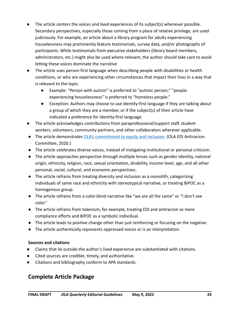- The article centers the voices and lived experiences of its subject(s) whenever possible. Secondary perspectives, especially those coming from a place of relative privilege, are used judiciously. For example, an article about a library program for adults experiencing houselessness may prominently feature testimonials, survey data, and/or photographs of participants. While testimonials from executive stakeholders (library board members, administrators, etc.) might also be used where relevant, the author should take care to avoid letting these voices dominate the narrative
- The article uses person-first language when describing people with disabilities or health conditions, or who are experiencing other circumstances that impact their lives in a way that is relevant to the topic.
	- Example: "Person with autism" is preferred to "autistic person;" "people experiencing houselessness" is preferred to "homeless people."
	- Exception: Authors may choose to use identity-first language if they are talking about a group of which they are a member, or if the subject(s) of their article have indicated a preference for identity-first language.
- The article acknowledges contributions from paraprofessional/support staff, student workers, volunteers, community partners, and other collaborators wherever applicable.
- The article demonstrates [OLA's commitment to equity](https://www.olaweb.org/ola-edi-antiracism-committee---HOME) and inclusion. (OLA EDI Antiracism Committee, 2020.)
- The article celebrates diverse voices, instead of instigating institutional or personal criticism.
- The article approaches perspective through multiple lenses such as gender identity, national origin, ethnicity, religion, race, sexual orientation, disability, income level, age, and all other personal, social, cultural, and economic perspectives.
- The article refrains from treating diversity and inclusion as a monolith, categorizing individuals of same race and ethnicity with stereotypical narrative, or treating BIPOC as a homogenous group.
- The article refrains from a color-blind narrative like "we are all the same" or "I don't see color."
- The article refrains from tokenism, for example, treating EDI and antiracism as mere compliance efforts and BIPOC as a symbolic individual.
- The article leads to positive change other than just reinforcing or focusing on the negative.
- The article authentically represents oppressed voices or is an interpretation.

#### **Sources and citations**

- Claims that lie outside the author's lived experience are substantiated with citations.
- Cited sources are credible, timely, and authoritative.
- Citations and bibliography conform to APA standards.

#### **Complete Article Package**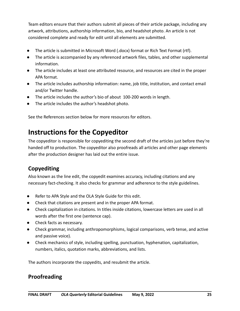Team editors ensure that their authors submit all pieces of their article package, including any artwork, attributions, authorship information, bio, and headshot photo. An article is not considered complete and ready for edit until all elements are submitted.

- The article is submitted in Microsoft Word (.docx) format or Rich Text Format (rtf).
- The article is accompanied by any referenced artwork files, tables, and other supplemental information.
- The article includes at least one attributed resource, and resources are cited in the proper APA format.
- The article includes authorship information: name, job title, institution, and contact email and/or Twitter handle.
- The article includes the author's bio of about 100-200 words in length.
- The article includes the author's headshot photo.

See the References section below for more resources for editors.

# **Instructions for the Copyeditor**

The copyeditor is responsible for copyediting the second draft of the articles just before they're handed off to production. The copyeditor also proofreads all articles and other page elements after the production designer has laid out the entire issue.

#### **Copyediting**

Also known as the line edit, the copyedit examines accuracy, including citations and any necessary fact-checking. It also checks for grammar and adherence to the style guidelines.

- Refer to APA Style and the OLA Style Guide for this edit.
- Check that citations are present and in the proper APA format.
- Check capitalization in citations. In titles inside citations, lowercase letters are used in all words after the first one (sentence cap).
- Check facts as necessary.
- Check grammar, including anthropomorphisms, logical comparisons, verb tense, and active and passive voice).
- Check mechanics of style, including spelling, punctuation, hyphenation, capitalization, numbers, italics, quotation marks, abbreviations, and lists.

The authors incorporate the copyedits, and resubmit the article.

#### **Proofreading**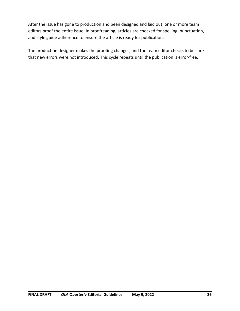After the issue has gone to production and been designed and laid out, one or more team editors proof the entire issue. In proofreading, articles are checked for spelling, punctuation, and style guide adherence to ensure the article is ready for publication.

The production designer makes the proofing changes, and the team editor checks to be sure that new errors were not introduced. This cycle repeats until the publication is error-free.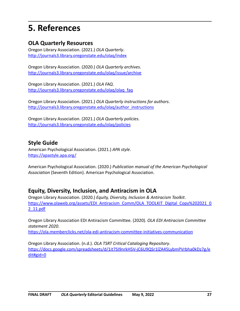# **5. References**

#### **OLA Quarterly Resources**

Oregon Library Association. (2021.) *OLA Quarterly*. <http://journals3.library.oregonstate.edu/olaq/index>

Oregon Library Association. (2020.) *OLA Quarterly archives*. <http://journals3.library.oregonstate.edu/olaq/issue/archive>

Oregon Library Association. (2021.) *OLA FAQ*. [http://journals3.library.oregonstate.edu/olaq/olaq\\_faq](http://journals3.library.oregonstate.edu/olaq/olaq_faq)

Oregon Library Association. (2021.) *OLA Quarterly instructions for authors*. [http://journals3.library.oregonstate.edu/olaq/author\\_instructions](http://journals3.library.oregonstate.edu/olaq/author_instructions)

Oregon Library Association. (2021.) *OLA Quarterly policies*. <http://journals3.library.oregonstate.edu/olaq/policies>

#### **Style Guide**

American Psychological Association. (2021.) *APA style*. <https://apastyle.apa.org/>

American Psychological Association. (2020.) *Publication manual of the American Psychological Association* (Seventh Edition). American Psychological Association.

#### **Equity, Diversity, Inclusion, and Antiracism in OLA**

Oregon Library Association. (2020.) *Equity, Diversity, Inclusion & Antiracism Toolkit*. [https://www.olaweb.org/assets/EDI\\_Antiracism\\_Comm/OLA\\_TOOLKIT\\_Digital\\_Copy%202021\\_0](https://www.olaweb.org/assets/EDI_Antiracism_Comm/OLA_TOOLKIT_Digital_Copy%202021_02_11.pdf) [2\\_11.pdf](https://www.olaweb.org/assets/EDI_Antiracism_Comm/OLA_TOOLKIT_Digital_Copy%202021_02_11.pdf)

Oregon Library Association EDI Antiracism Committee. (2020). *OLA EDI Antiracism Committee statement 2020*.

<https://ola.memberclicks.net/ola-edi-antiracism-committee-initiatives-communication>

Oregon Library Association. (n.d.). *OLA TSRT Critical Cataloging Repository*. [https://docs.google.com/spreadsheets/d/1it7SI9nrkH5V-jC6U9QSr1lZA45LybmPVrbha0kDz7g/e](https://docs.google.com/spreadsheets/d/1it7SI9nrkH5V-jC6U9QSr1lZA45LybmPVrbha0kDz7g/edit%23gid=0) [dit#gid=0](https://docs.google.com/spreadsheets/d/1it7SI9nrkH5V-jC6U9QSr1lZA45LybmPVrbha0kDz7g/edit%23gid=0)